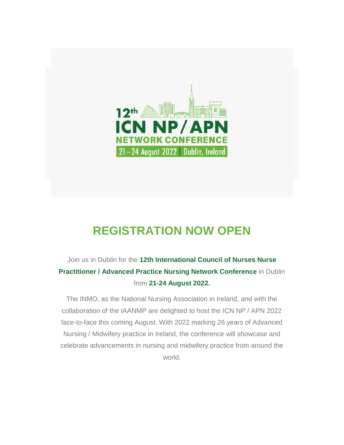

## **REGISTRATION NOW OPEN**

## Join us in Dublin for the **12th International Council of Nurses Nurse Practitioner / Advanced Practice Nursing Network Conference** in Dublin from **21-24 August 2022.**

The INMO, as the National Nursing Association in Ireland, and with the collaboration of the IAANMP are delighted to host the ICN NP / APN 2022 face-to-face this coming August. With 2022 marking 26 years of Advanced Nursing / Midwifery practice in Ireland, the conference will showcase and celebrate advancements in nursing and midwifery practice from around the world.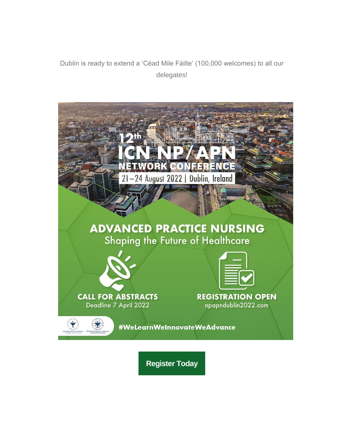Dublin is ready to extend a 'Céad Mile Fáilte' (100,000 welcomes) to all our delegates!



**[Register Today](https://conferencepartners.us12.list-manage.com/track/click?u=ea4b9d8128eff358a2a6af27b&id=9eb468ed9d&e=4881b5ef5b)**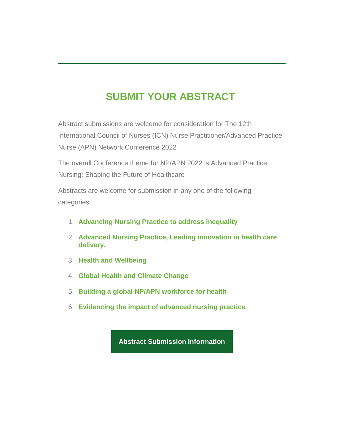## **SUBMIT YOUR ABSTRACT**

Abstract submissions are welcome for consideration for The 12th International Council of Nurses (ICN) Nurse Practitioner/Advanced Practice Nurse (APN) Network Conference 2022

The overall Conference theme for NP/APN 2022 is Advanced Practice Nursing: Shaping the Future of Healthcare

Abstracts are welcome for submission in any one of the following categories:

- 1. **Advancing Nursing Practice to address inequality**
- 2. **Advanced Nursing Practice, Leading innovation in health care delivery.**
- 3. **Health and Wellbeing**
- 4. **Global Health and Climate Change**
- 5. **Building a global NP/APN workforce for health**
- 6. **Evidencing the impact of advanced nursing practice**

**[Abstract Submission Information](https://conferencepartners.us12.list-manage.com/track/click?u=ea4b9d8128eff358a2a6af27b&id=f0a88953c1&e=4881b5ef5b)**